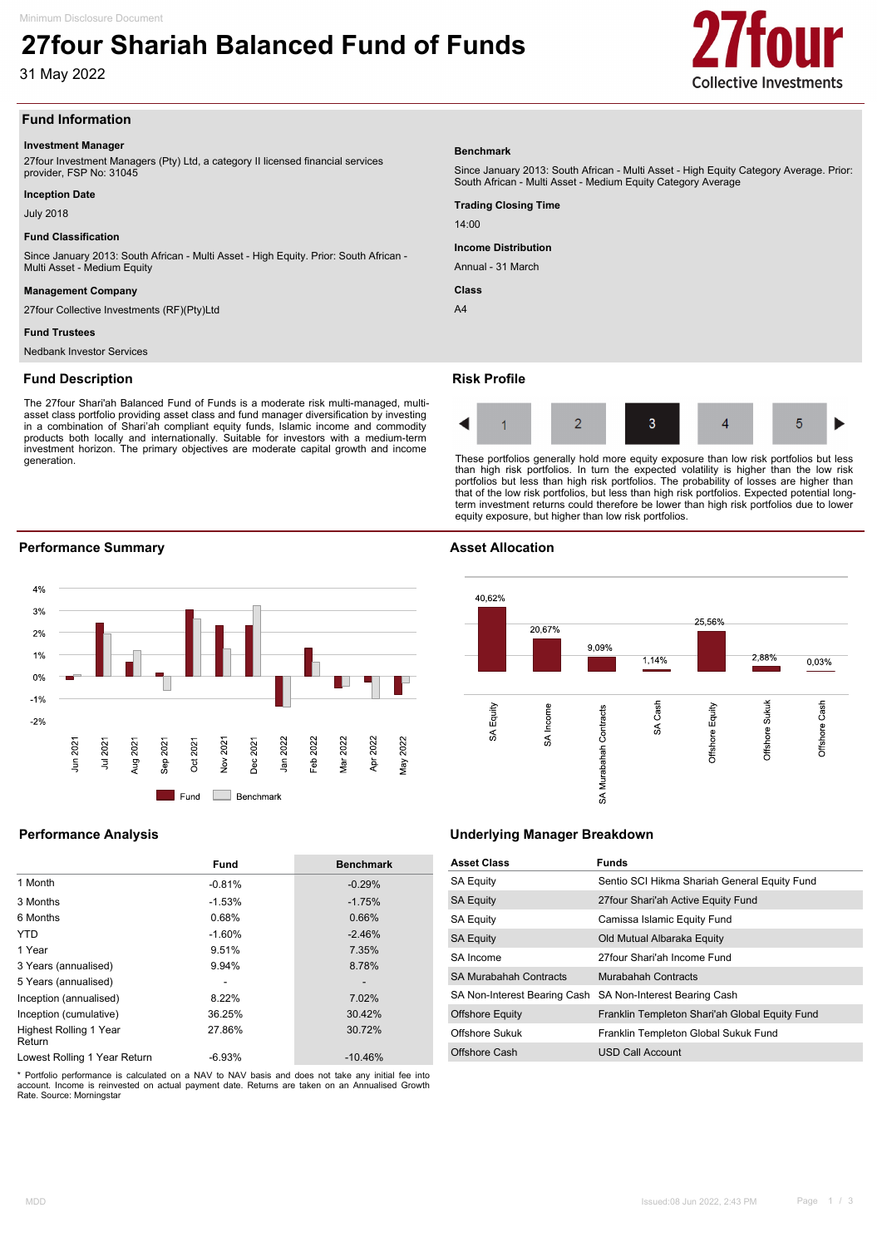# **27four Shariah Balanced Fund of Funds**

31 May 2022



# **Fund Information**

### **Investment Manager**

27four Investment Managers (Pty) Ltd, a category II licensed financial services provider, FSP No: 31045

# **Inception Date**

July 2018

# **Fund Classification**

Since January 2013: South African - Multi Asset - High Equity. Prior: South African - Multi Asset - Medium Equity

### **Management Company**

27four Collective Investments (RF)(Pty)Ltd

# **Fund Trustees**

Nedbank Investor Services

# **Fund Description**

The 27four Shari'ah Balanced Fund of Funds is a moderate risk multi-managed, multiasset class portfolio providing asset class and fund manager diversification by investing in a combination of Shari'ah compliant equity funds, Islamic income and commodity products both locally and internationally. Suitable for investors with a medium-term investment horizon. The primary objectives are moderate capital growth and income generation.

# **Benchmark**

Since January 2013: South African - Multi Asset - High Equity Category Average. Prior: South African - Multi Asset - Medium Equity Category Average

**Trading Closing Time**

 $14:00$ 

**Income Distribution**

Annual - 31 March

**Class**

 $AA$ 

# **Risk Profile**



These portfolios generally hold more equity exposure than low risk portfolios but less than high risk portfolios. In turn the expected volatility is higher than the low risk portfolios but less than high risk portfolios. The probability of losses are higher than that of the low risk portfolios, but less than high risk portfolios. Expected potential longterm investment returns could therefore be lower than high risk portfolios due to lower equity exposure, but higher than low risk portfolios.

# **Performance Summary Asset Allocation**



|                                         | <b>Fund</b> | <b>Benchmark</b> |
|-----------------------------------------|-------------|------------------|
| 1 Month                                 | $-0.81%$    | $-0.29%$         |
| 3 Months                                | $-1.53%$    | $-1.75%$         |
| 6 Months                                | 0.68%       | 0.66%            |
| <b>YTD</b>                              | $-1.60%$    | $-2.46%$         |
| 1 Year                                  | 9.51%       | 7.35%            |
| 3 Years (annualised)                    | 9.94%       | 8.78%            |
| 5 Years (annualised)                    |             |                  |
| Inception (annualised)                  | 8.22%       | 7.02%            |
| Inception (cumulative)                  | 36.25%      | 30.42%           |
| <b>Highest Rolling 1 Year</b><br>Return | 27.86%      | 30.72%           |
| Lowest Rolling 1 Year Return            | $-6.93%$    | $-10.46%$        |

\* Portfolio performance is calculated on a NAV to NAV basis and does not take any initial fee into account. Income is reinvested on actual payment date. Returns are taken on an Annualised Growth Rate. Source: Morningstar



# **Performance Analysis Underlying Manager Breakdown**

| <b>Asset Class</b>            | <b>Funds</b>                                              |
|-------------------------------|-----------------------------------------------------------|
| <b>SA Equity</b>              | Sentio SCI Hikma Shariah General Equity Fund              |
| <b>SA Equity</b>              | 27 four Shari'ah Active Equity Fund                       |
| <b>SA Equity</b>              | Camissa Islamic Equity Fund                               |
| <b>SA Equity</b>              | Old Mutual Albaraka Equity                                |
| SA Income                     | 27four Shari'ah Income Fund                               |
| <b>SA Murabahah Contracts</b> | Murabahah Contracts                                       |
|                               | SA Non-Interest Bearing Cash SA Non-Interest Bearing Cash |
| <b>Offshore Equity</b>        | Franklin Templeton Shari'ah Global Equity Fund            |
| Offshore Sukuk                | Franklin Templeton Global Sukuk Fund                      |
| Offshore Cash                 | USD Call Account                                          |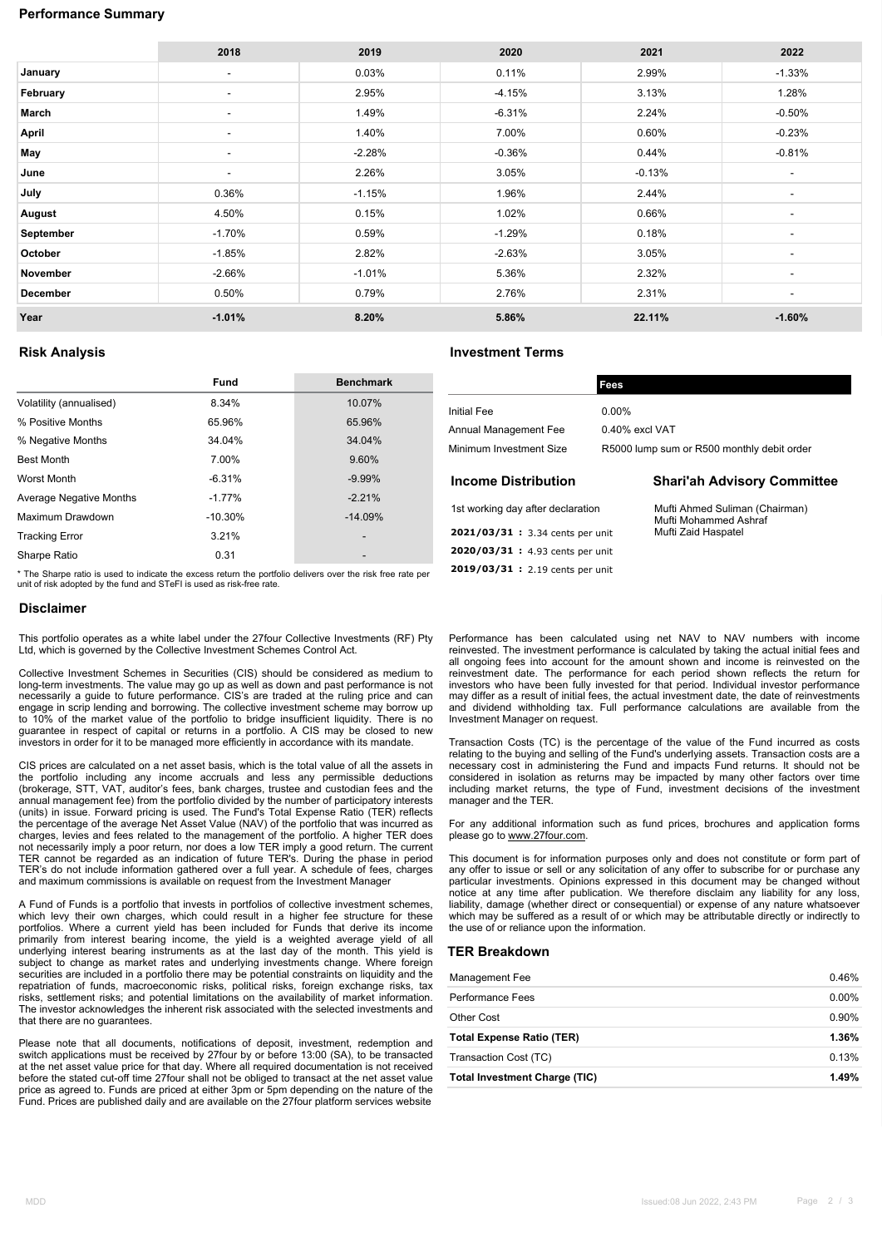# **Performance Summary**

|           | 2018                     | 2019     | 2020     | 2021     | 2022                     |
|-----------|--------------------------|----------|----------|----------|--------------------------|
| January   | $\overline{\phantom{a}}$ | 0.03%    | 0.11%    | 2.99%    | $-1.33%$                 |
| February  | $\overline{\phantom{a}}$ | 2.95%    | $-4.15%$ | 3.13%    | 1.28%                    |
| March     | $\overline{\phantom{a}}$ | 1.49%    | $-6.31%$ | 2.24%    | $-0.50%$                 |
| April     | $\overline{\phantom{a}}$ | 1.40%    | 7.00%    | 0.60%    | $-0.23%$                 |
| May       | $\overline{\phantom{a}}$ | $-2.28%$ | $-0.36%$ | 0.44%    | $-0.81%$                 |
| June      | $\overline{\phantom{a}}$ | 2.26%    | 3.05%    | $-0.13%$ | $\overline{\phantom{a}}$ |
| July      | 0.36%                    | $-1.15%$ | 1.96%    | 2.44%    | $\blacksquare$           |
| August    | 4.50%                    | 0.15%    | 1.02%    | 0.66%    | $\blacksquare$           |
| September | $-1.70%$                 | 0.59%    | $-1.29%$ | 0.18%    | $\overline{\phantom{a}}$ |
| October   | $-1.85%$                 | 2.82%    | $-2.63%$ | 3.05%    | $\overline{\phantom{a}}$ |
| November  | $-2.66%$                 | $-1.01%$ | 5.36%    | 2.32%    | $\blacksquare$           |
| December  | 0.50%                    | 0.79%    | 2.76%    | 2.31%    | $\overline{\phantom{a}}$ |
| Year      | $-1.01%$                 | 8.20%    | 5.86%    | 22.11%   | $-1.60%$                 |

# **Risk Analysis Investment Terms**

**2019/03/31 :** 2.19 cents per unit

|                         | <b>Fund</b> | <b>Benchmark</b> |
|-------------------------|-------------|------------------|
| Volatility (annualised) | 8.34%       | 10.07%           |
| % Positive Months       | 65.96%      | 65.96%           |
| % Negative Months       | 34.04%      | 34.04%           |
| <b>Best Month</b>       | 7.00%       | 9.60%            |
| Worst Month             | $-6.31%$    | $-9.99%$         |
| Average Negative Months | $-1.77%$    | $-2.21%$         |
| Maximum Drawdown        | $-10.30%$   | $-14.09%$        |
| <b>Tracking Error</b>   | 3.21%       |                  |
| Sharpe Ratio            | 0.31        |                  |

| <b>Initial Fee</b>                 | $0.00\%$                                                |
|------------------------------------|---------------------------------------------------------|
| Annual Management Fee              | 0.40% excl VAT                                          |
| Minimum Investment Size            | R5000 lump sum or R500 monthly debit order              |
| <b>Income Distribution</b>         | <b>Shari'ah Advisory Committee</b>                      |
| 1st working day after declaration  | Mufti Ahmed Suliman (Chairman)<br>Mufti Mohammed Ashraf |
| 2021/03/31: 3.34 cents per unit    | Mufti Zaid Haspatel                                     |
| $2020/03/31 + 4.93$ cents ner unit |                                                         |

**Fees**

\* The Sharpe ratio is used to indicate the excess return the portfolio delivers over the risk free rate per unit of risk adopted by the fund and STeFI is used as risk-free rate.

# **Disclaimer**

This portfolio operates as a white label under the 27four Collective Investments (RF) Pty Ltd, which is governed by the Collective Investment Schemes Control Act.

Collective Investment Schemes in Securities (CIS) should be considered as medium to long-term investments. The value may go up as well as down and past performance is not necessarily a guide to future performance. CIS's are traded at the ruling price and can engage in scrip lending and borrowing. The collective investment scheme may borrow up to 10% of the market value of the portfolio to bridge insufficient liquidity. There is no guarantee in respect of capital or returns in a portfolio. A CIS may be closed to new investors in order for it to be managed more efficiently in accordance with its mandate.

CIS prices are calculated on a net asset basis, which is the total value of all the assets in the portfolio including any income accruals and less any permissible deductions (brokerage, STT, VAT, auditor's fees, bank charges, trustee and custodian fees and the annual management fee) from the portfolio divided by the number of participatory interests<br>(units) in issue. Forward pricing is used. The Fund's Total Expense Ratio (TER) reflects<br>the percentage of the average Net Asset Va charges, levies and fees related to the management of the portfolio. A higher TER does not necessarily imply a poor return, nor does a low TER imply a good return. The current TER cannot be regarded as an indication of future TER's. During the phase in period TER's do not include information gathered over a full year. A schedule of fees, charges and maximum commissions is available on request from the Investment Manager

A Fund of Funds is a portfolio that invests in portfolios of collective investment schemes, which levy their own charges, which could result in a higher fee structure for these portfolios. Where a current yield has been included for Funds that derive its income primarily from interest bearing income, the yield is a weighted average yield of all underlying interest bearing instruments as at the last day of the month. This yield is subject to change as market rates and underlying investments change. Where foreign securities are included in a portfolio there may be potential constraints on liquidity and the repatriation of funds, macroeconomic risks, political risks, foreign exchange risks, tax risks, settlement risks; and potential limitations on the availability of market information. The investor acknowledges the inherent risk associated with the selected investments and that there are no guarantees.

Please note that all documents, notifications of deposit, investment, redemption and switch applications must be received by 27four by or before 13:00 (SA), to be transacted at the net asset value price for that day. Where all required documentation is not received before the stated cut-off time 27four shall not be obliged to transact at the net asset value price as agreed to. Funds are priced at either 3pm or 5pm depending on the nature of the Fund. Prices are published daily and are available on the 27four platform services website

Performance has been calculated using net NAV to NAV numbers with income reinvested. The investment performance is calculated by taking the actual initial fees and all ongoing fees into account for the amount shown and income is reinvested on the reinvestment date. The performance for each period shown reflects the return for investors who have been fully invested for that period. Individual investor performance may differ as a result of initial fees, the actual investment date, the date of reinvestments and dividend withholding tax. Full performance calculations are available from the Investment Manager on request.

Transaction Costs (TC) is the percentage of the value of the Fund incurred as costs relating to the buying and selling of the Fund's underlying assets. Transaction costs are a necessary cost in administering the Fund and impacts Fund returns. It should not be considered in isolation as returns may be impacted by many other factors over time including market returns, the type of Fund, investment decisions of the investment manager and the TER

For any additional information such as fund prices, brochures and application forms please go to www.27four.com.

This document is for information purposes only and does not constitute or form part of any offer to issue or sell or any solicitation of any offer to subscribe for or purchase any particular investments. Opinions expressed in this document may be changed without notice at any time after publication. We therefore disclaim any liability for any loss, liability, damage (whether direct or consequential) or expense of any nature whatsoever which may be suffered as a result of or which may be attributable directly or indirectly to the use of or reliance upon the information.

# **TER Breakdown**

| Management Fee                   | 0.46%    |
|----------------------------------|----------|
| <b>Performance Fees</b>          | $0.00\%$ |
| Other Cost                       | 0.90%    |
|                                  |          |
| <b>Total Expense Ratio (TER)</b> | 1.36%    |
| Transaction Cost (TC)            | 0.13%    |